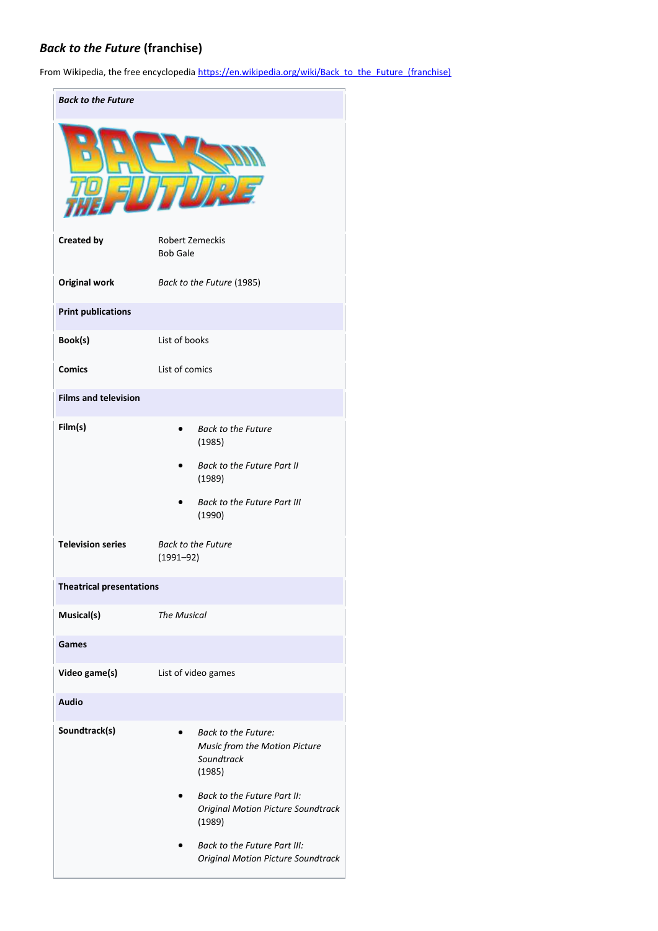# *Back to the Future* **(franchise)**

From Wikipedia, the free encyclopedia [https://en.wikipedia.org/wiki/Back\\_to\\_the\\_Future\\_\(franchise\)](https://en.wikipedia.org/wiki/Back_to_the_Future_(franchise))

| <b>Back to the Future</b>       |                                           |                                                                                     |
|---------------------------------|-------------------------------------------|-------------------------------------------------------------------------------------|
|                                 |                                           |                                                                                     |
| <b>Created by</b>               | <b>Robert Zemeckis</b><br><b>Bob Gale</b> |                                                                                     |
| <b>Original work</b>            |                                           | Back to the Future (1985)                                                           |
| <b>Print publications</b>       |                                           |                                                                                     |
| Book(s)                         | List of books                             |                                                                                     |
| <b>Comics</b>                   | List of comics                            |                                                                                     |
| <b>Films and television</b>     |                                           |                                                                                     |
| Film(s)                         |                                           | <b>Back to the Future</b><br>(1985)                                                 |
|                                 |                                           | <b>Back to the Future Part II</b><br>(1989)                                         |
|                                 |                                           | <b>Back to the Future Part III</b><br>(1990)                                        |
| <b>Television series</b>        | $(1991 - 92)$                             | <b>Back to the Future</b>                                                           |
| <b>Theatrical presentations</b> |                                           |                                                                                     |
| Musical(s)                      | <b>The Musical</b>                        |                                                                                     |
| Games                           |                                           |                                                                                     |
| Video game(s)                   |                                           | List of video games                                                                 |
| Audio                           |                                           |                                                                                     |
| Soundtrack(s)                   |                                           | <b>Back to the Future:</b><br>Music from the Motion Picture<br>Soundtrack<br>(1985) |
|                                 |                                           | Back to the Future Part II:<br><b>Original Motion Picture Soundtrack</b><br>(1989)  |
|                                 |                                           | Back to the Future Part III:<br><b>Original Motion Picture Soundtrack</b>           |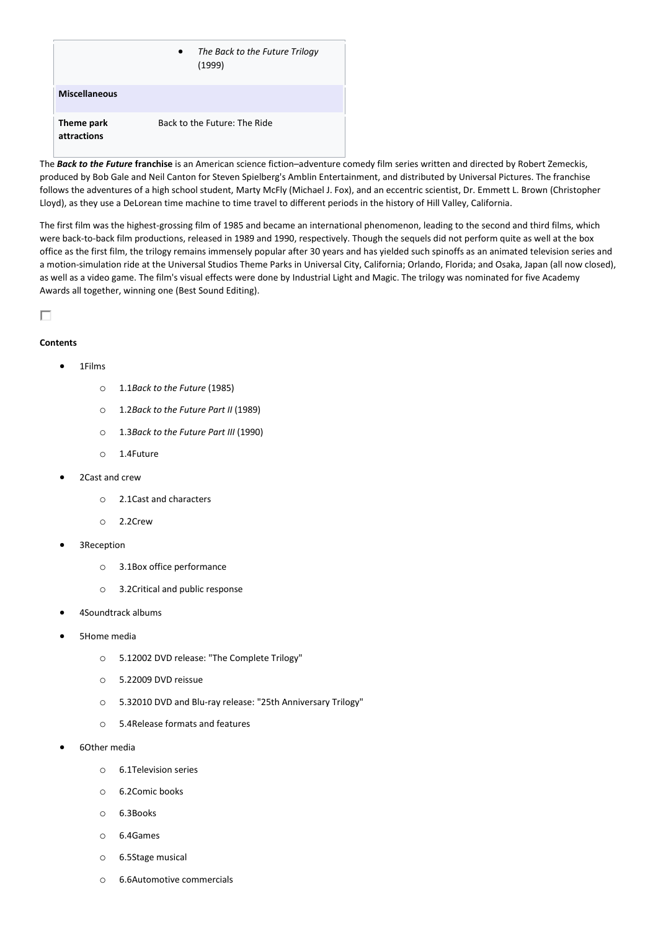|                           | The Back to the Future Trilogy<br>$\bullet$<br>(1999) |
|---------------------------|-------------------------------------------------------|
| <b>Miscellaneous</b>      |                                                       |
| Theme park<br>attractions | Back to the Future: The Ride                          |

The *Back to the Future* **franchise** is an American science fiction–adventure comedy film series written and directed by Robert Zemeckis, produced by Bob Gale and Neil Canton for Steven Spielberg's Amblin Entertainment, and distributed by Universal Pictures. The franchise follows the adventures of a high school student, Marty McFly (Michael J. Fox), and an eccentric scientist, Dr. Emmett L. Brown (Christopher Lloyd), as they use a DeLorean time machine to time travel to different periods in the history of Hill Valley, California.

The first film was the highest-grossing film of 1985 and became an international phenomenon, leading to the second and third films, which were back-to-back film productions, released in 1989 and 1990, respectively. Though the sequels did not perform quite as well at the box office as the first film, the trilogy remains immensely popular after 30 years and has yielded such spinoffs as an animated television series and a motion-simulation ride at the Universal Studios Theme Parks in Universal City, California; Orlando, Florida; and Osaka, Japan (all now closed), as well as a video game. The film's visual effects were done by Industrial Light and Magic. The trilogy was nominated for five Academy Awards all together, winning one (Best Sound Editing).

П

#### **Contents**

#### • 1Films

- o 1.1*Back to the Future* (1985)
- o 1.2*Back to the Future Part II* (1989)
- o 1.3*Back to the Future Part III* (1990)
- o 1.4Future
- 2Cast and crew
	- o 2.1Cast and characters
	- o 2.2Crew
- 3Reception
	- o 3.1Box office performance
	- o 3.2Critical and public response
- 4Soundtrack albums
- 5Home media
	- o 5.12002 DVD release: "The Complete Trilogy"
	- o 5.22009 DVD reissue
	- o 5.32010 DVD and Blu-ray release: "25th Anniversary Trilogy"
	- o 5.4Release formats and features
- 6Other media
	- o 6.1Television series
	- o 6.2Comic books
	- o 6.3Books
	- o 6.4Games
	- o 6.5Stage musical
	- o 6.6Automotive commercials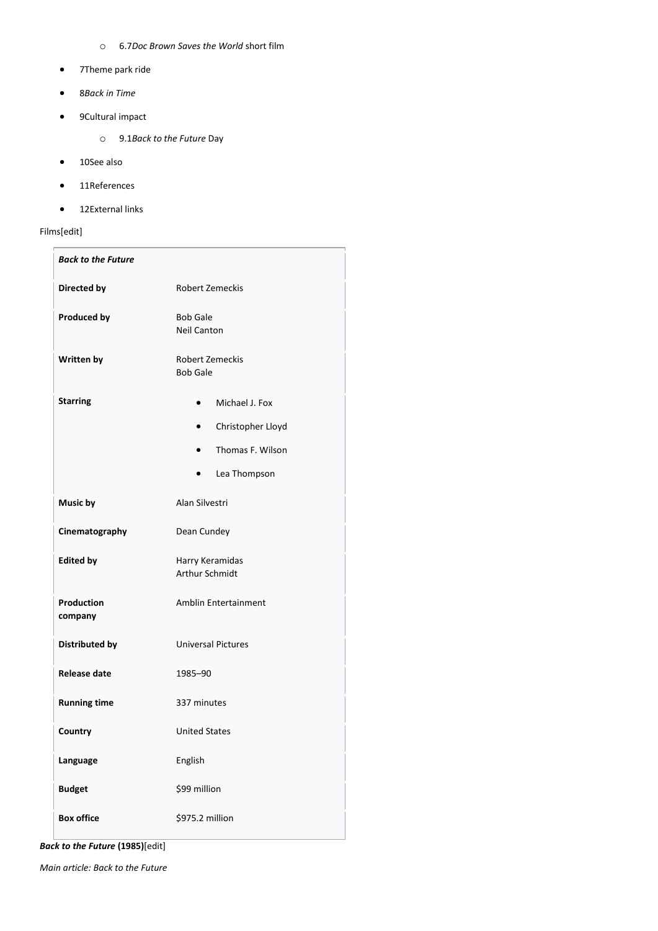- o 6.7*Doc Brown Saves the World* short film
- 7Theme park ride
- 8*Back in Time*
- 9Cultural impact
	- o 9.1*Back to the Future* Day
- 10See also
- 11References
- 12External links

## Films[edit]

| <b>Back to the Future</b> |                                           |  |  |
|---------------------------|-------------------------------------------|--|--|
| Directed by               | <b>Robert Zemeckis</b>                    |  |  |
| <b>Produced by</b>        | <b>Bob Gale</b><br><b>Neil Canton</b>     |  |  |
| <b>Written by</b>         | <b>Robert Zemeckis</b><br><b>Bob Gale</b> |  |  |
| <b>Starring</b>           | Michael J. Fox                            |  |  |
|                           | Christopher Lloyd<br>$\bullet$            |  |  |
|                           | Thomas F. Wilson<br>$\bullet$             |  |  |
|                           | Lea Thompson<br>$\bullet$                 |  |  |
| Music by                  | Alan Silvestri                            |  |  |
| Cinematography            | Dean Cundey                               |  |  |
| <b>Edited by</b>          | Harry Keramidas<br><b>Arthur Schmidt</b>  |  |  |
|                           |                                           |  |  |
| Production<br>company     | Amblin Entertainment                      |  |  |
| Distributed by            | <b>Universal Pictures</b>                 |  |  |
| Release date              | 1985-90                                   |  |  |
| <b>Running time</b>       | 337 minutes                               |  |  |
| Country                   | <b>United States</b>                      |  |  |
| Language                  | English                                   |  |  |
| <b>Budget</b>             | \$99 million                              |  |  |
| <b>Box office</b>         | \$975.2 million                           |  |  |

*Back to the Future* **(1985)**[edit]

*Main article: Back to the Future*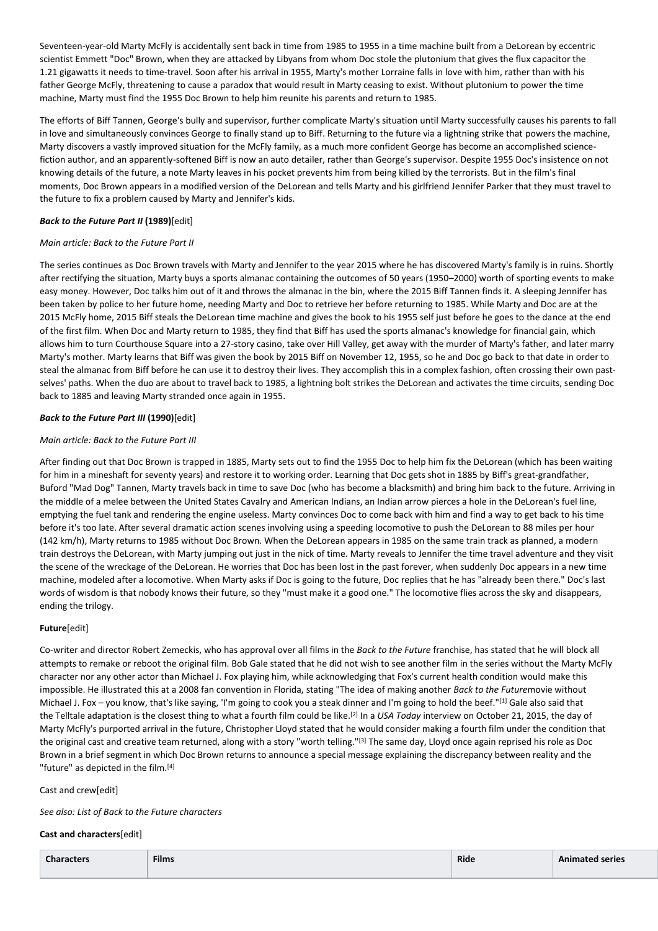Seventeen-year-old Marty McFly is accidentally sent back in time from 1985 to 1955 in a time machine built from a DeLorean by eccentric scientist Emmett "Doc" Brown, when they are attacked by Libyans from whom Doc stole the plutonium that gives the flux capacitor the 1.21 gigawatts it needs to time-travel. Soon after his arrival in 1955, Marty's mother Lorraine falls in love with him, rather than with his father George McFly, threatening to cause a paradox that would result in Marty ceasing to exist. Without plutonium to power the time machine, Marty must find the 1955 Doc Brown to help him reunite his parents and return to 1985.

The efforts of Biff Tannen, George's bully and supervisor, further complicate Marty's situation until Marty successfully causes his parents to fall in love and simultaneously convinces George to finally stand up to Biff. Returning to the future via a lightning strike that powers the machine, Marty discovers a vastly improved situation for the McFly family, as a much more confident George has become an accomplished sciencefiction author, and an apparently-softened Biff is now an auto detailer, rather than George's supervisor. Despite 1955 Doc's insistence on not knowing details of the future, a note Marty leaves in his pocket prevents him from being killed by the terrorists. But in the film's final moments, Doc Brown appears in a modified version of the DeLorean and tells Marty and his girlfriend Jennifer Parker that they must travel to the future to fix a problem caused by Marty and Jennifer's kids.

### *Back to the Future Part II* **(1989)**[edit]

#### *Main article: Back to the Future Part II*

The series continues as Doc Brown travels with Marty and Jennifer to the year 2015 where he has discovered Marty's family is in ruins. Shortly after rectifying the situation, Marty buys a sports almanac containing the outcomes of 50 years (1950–2000) worth of sporting events to make easy money. However, Doc talks him out of it and throws the almanac in the bin, where the 2015 Biff Tannen finds it. A sleeping Jennifer has been taken by police to her future home, needing Marty and Doc to retrieve her before returning to 1985. While Marty and Doc are at the 2015 McFly home, 2015 Biff steals the DeLorean time machine and gives the book to his 1955 self just before he goes to the dance at the end of the first film. When Doc and Marty return to 1985, they find that Biff has used the sports almanac's knowledge for financial gain, which allows him to turn Courthouse Square into a 27-story casino, take over Hill Valley, get away with the murder of Marty's father, and later marry Marty's mother. Marty learns that Biff was given the book by 2015 Biff on November 12, 1955, so he and Doc go back to that date in order to steal the almanac from Biff before he can use it to destroy their lives. They accomplish this in a complex fashion, often crossing their own pastselves' paths. When the duo are about to travel back to 1985, a lightning bolt strikes the DeLorean and activates the time circuits, sending Doc back to 1885 and leaving Marty stranded once again in 1955.

### *Back to the Future Part III* **(1990)**[edit]

#### *Main article: Back to the Future Part III*

After finding out that Doc Brown is trapped in 1885, Marty sets out to find the 1955 Doc to help him fix the DeLorean (which has been waiting for him in a mineshaft for seventy years) and restore it to working order. Learning that Doc gets shot in 1885 by Biff's great-grandfather, Buford "Mad Dog" Tannen, Marty travels back in time to save Doc (who has become a blacksmith) and bring him back to the future. Arriving in the middle of a melee between the United States Cavalry and American Indians, an Indian arrow pierces a hole in the DeLorean's fuel line, emptying the fuel tank and rendering the engine useless. Marty convinces Doc to come back with him and find a way to get back to his time before it's too late. After several dramatic action scenes involving using a speeding locomotive to push the DeLorean to 88 miles per hour (142 km/h), Marty returns to 1985 without Doc Brown. When the DeLorean appears in 1985 on the same train track as planned, a modern train destroys the DeLorean, with Marty jumping out just in the nick of time. Marty reveals to Jennifer the time travel adventure and they visit the scene of the wreckage of the DeLorean. He worries that Doc has been lost in the past forever, when suddenly Doc appears in a new time machine, modeled after a locomotive. When Marty asks if Doc is going to the future, Doc replies that he has "already been there." Doc's last words of wisdom is that nobody knows their future, so they "must make it a good one." The locomotive flies across the sky and disappears, ending the trilogy.

#### **Future**[edit]

Co-writer and director Robert Zemeckis, who has approval over all films in the *Back to the Future* franchise, has stated that he will block all attempts to remake or reboot the original film. Bob Gale stated that he did not wish to see another film in the series without the Marty McFly character nor any other actor than Michael J. Fox playing him, while acknowledging that Fox's current health condition would make this impossible. He illustrated this at a 2008 fan convention in Florida, stating "The idea of making another *Back to the Future*movie without Michael J. Fox – you know, that's like saying, 'I'm going to cook you a steak dinner and I'm going to hold the beef."[1] Gale also said that the Telltale adaptation is the closest thing to what a fourth film could be like.[2] In a *USA Today* interview on October 21, 2015, the day of Marty McFly's purported arrival in the future, Christopher Lloyd stated that he would consider making a fourth film under the condition that the original cast and creative team returned, along with a story "worth telling."<sup>[3]</sup> The same day, Lloyd once again reprised his role as Doc Brown in a brief segment in which Doc Brown returns to announce a special message explaining the discrepancy between reality and the "future" as depicted in the film.<sup>[4]</sup>

#### Cast and crew[edit]

*See also: List of Back to the Future characters*

#### **Cast and characters**[edit]

| <b>Characters</b> | <b>Films</b> | Ride | <b>Animated series</b> |
|-------------------|--------------|------|------------------------|
|                   |              |      |                        |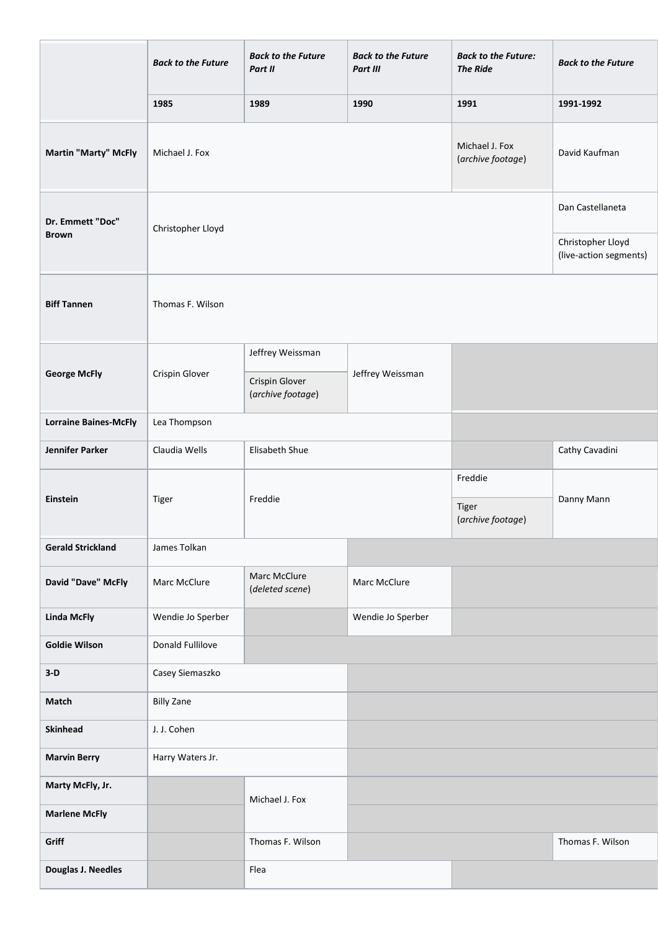|                                  | <b>Back to the Future</b> | <b>Back to the Future</b><br>Part II                                        | <b>Back to the Future</b><br>Part III | <b>Back to the Future:</b><br><b>The Ride</b> | <b>Back to the Future</b>                   |
|----------------------------------|---------------------------|-----------------------------------------------------------------------------|---------------------------------------|-----------------------------------------------|---------------------------------------------|
|                                  | 1985                      | 1989                                                                        | 1990                                  | 1991                                          | 1991-1992                                   |
| Martin "Marty" McFly             | Michael J. Fox            |                                                                             |                                       | Michael J. Fox<br>(archive footage)           | David Kaufman                               |
| Dr. Emmett "Doc"<br><b>Brown</b> | Christopher Lloyd         |                                                                             |                                       |                                               | Dan Castellaneta                            |
|                                  |                           |                                                                             |                                       |                                               | Christopher Lloyd<br>(live-action segments) |
| <b>Biff Tannen</b>               | Thomas F. Wilson          |                                                                             |                                       |                                               |                                             |
| <b>George McFly</b>              | Crispin Glover            | Jeffrey Weissman<br>Jeffrey Weissman<br>Crispin Glover<br>(archive footage) |                                       |                                               |                                             |
| <b>Lorraine Baines-McFly</b>     | Lea Thompson              |                                                                             |                                       |                                               |                                             |
| <b>Jennifer Parker</b>           | Claudia Wells             | Elisabeth Shue                                                              |                                       |                                               | Cathy Cavadini                              |
| Einstein                         | Tiger                     | Freddie                                                                     |                                       | Freddie<br>Tiger<br>(archive footage)         | Danny Mann                                  |
| <b>Gerald Strickland</b>         | James Tolkan              |                                                                             |                                       |                                               |                                             |
| David "Dave" McFly               | Marc McClure              | Marc McClure<br>(deleted scene)                                             | Marc McClure                          |                                               |                                             |
| <b>Linda McFly</b>               | Wendie Jo Sperber         |                                                                             | Wendie Jo Sperber                     |                                               |                                             |
| <b>Goldie Wilson</b>             | Donald Fullilove          |                                                                             |                                       |                                               |                                             |
| $3-D$                            | Casey Siemaszko           |                                                                             |                                       |                                               |                                             |
| Match                            | <b>Billy Zane</b>         |                                                                             |                                       |                                               |                                             |
| <b>Skinhead</b>                  | J. J. Cohen               |                                                                             |                                       |                                               |                                             |
| <b>Marvin Berry</b>              | Harry Waters Jr.          |                                                                             |                                       |                                               |                                             |
| Marty McFly, Jr.                 |                           | Michael J. Fox                                                              |                                       |                                               |                                             |
| <b>Marlene McFly</b>             |                           |                                                                             |                                       |                                               |                                             |
| Griff                            |                           | Thomas F. Wilson                                                            |                                       |                                               | Thomas F. Wilson                            |
| Douglas J. Needles               |                           | Flea                                                                        |                                       |                                               |                                             |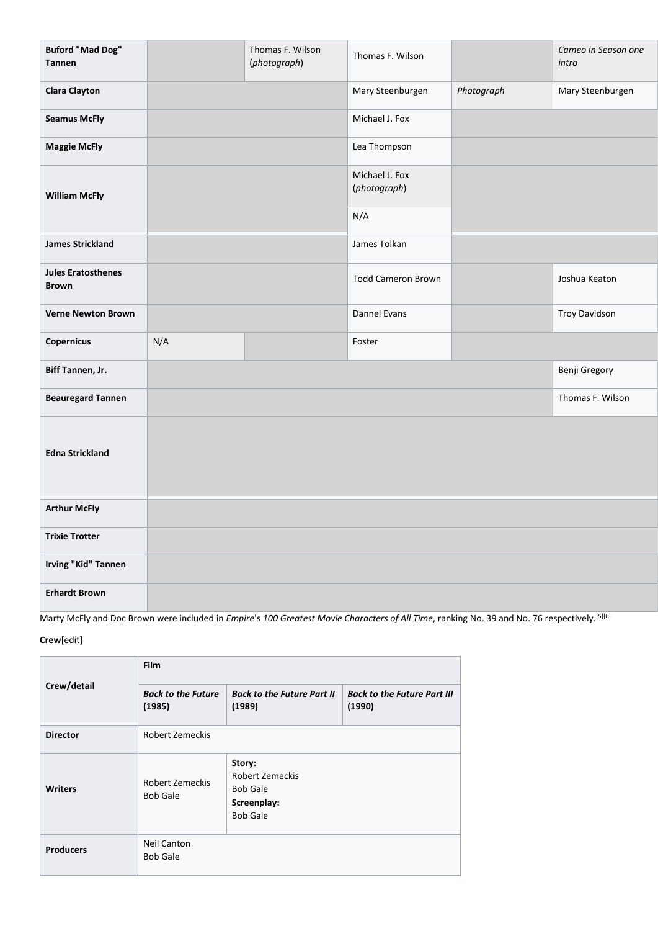| <b>Buford "Mad Dog"</b><br><b>Tannen</b>  |     | Thomas F. Wilson<br>(photograph) | Thomas F. Wilson               |            | Cameo in Season one<br>intro |
|-------------------------------------------|-----|----------------------------------|--------------------------------|------------|------------------------------|
| <b>Clara Clayton</b>                      |     |                                  | Mary Steenburgen               | Photograph | Mary Steenburgen             |
| <b>Seamus McFly</b>                       |     |                                  | Michael J. Fox                 |            |                              |
| <b>Maggie McFly</b>                       |     |                                  | Lea Thompson                   |            |                              |
| <b>William McFly</b>                      |     |                                  | Michael J. Fox<br>(photograph) |            |                              |
|                                           |     |                                  | N/A                            |            |                              |
| <b>James Strickland</b>                   |     |                                  | James Tolkan                   |            |                              |
| <b>Jules Eratosthenes</b><br><b>Brown</b> |     |                                  | <b>Todd Cameron Brown</b>      |            | Joshua Keaton                |
| <b>Verne Newton Brown</b>                 |     |                                  | Dannel Evans                   |            | <b>Troy Davidson</b>         |
| Copernicus                                | N/A |                                  | Foster                         |            |                              |
| Biff Tannen, Jr.                          |     |                                  |                                |            | Benji Gregory                |
| <b>Beauregard Tannen</b>                  |     |                                  |                                |            | Thomas F. Wilson             |
| <b>Edna Strickland</b>                    |     |                                  |                                |            |                              |
| <b>Arthur McFly</b>                       |     |                                  |                                |            |                              |
| <b>Trixie Trotter</b>                     |     |                                  |                                |            |                              |
| <b>Irving "Kid" Tannen</b>                |     |                                  |                                |            |                              |
| <b>Erhardt Brown</b>                      |     |                                  |                                |            |                              |

Marty McFly and Doc Brown were included in *Empire*'s *100 Greatest Movie Characters of All Time*, ranking No. 39 and No. 76 respectively.[5][6]

## **Crew**[edit]

|                  | <b>Film</b>                           |                                                                                       |                                              |  |
|------------------|---------------------------------------|---------------------------------------------------------------------------------------|----------------------------------------------|--|
| Crew/detail      | <b>Back to the Future</b><br>(1985)   | <b>Back to the Future Part II</b><br>(1989)                                           | <b>Back to the Future Part III</b><br>(1990) |  |
| <b>Director</b>  | <b>Robert Zemeckis</b>                |                                                                                       |                                              |  |
| <b>Writers</b>   | Robert Zemeckis<br><b>Bob Gale</b>    | Story:<br><b>Robert Zemeckis</b><br><b>Bob Gale</b><br>Screenplay:<br><b>Bob Gale</b> |                                              |  |
| <b>Producers</b> | <b>Neil Canton</b><br><b>Bob Gale</b> |                                                                                       |                                              |  |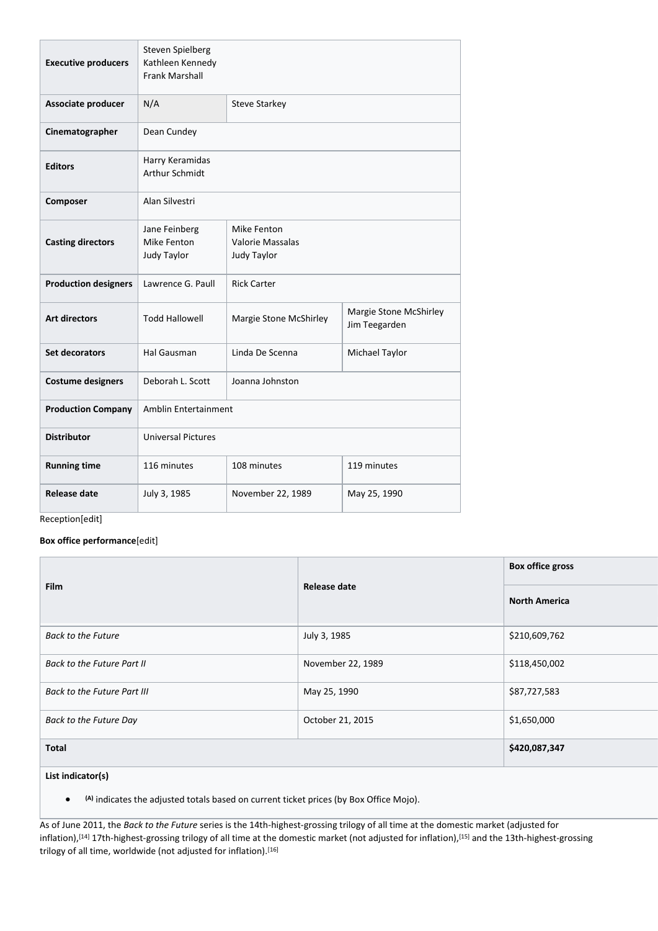| <b>Executive producers</b>  | Steven Spielberg<br>Kathleen Kennedy<br><b>Frank Marshall</b> |                                                |                                         |  |
|-----------------------------|---------------------------------------------------------------|------------------------------------------------|-----------------------------------------|--|
| Associate producer          | N/A                                                           | <b>Steve Starkey</b>                           |                                         |  |
| Cinematographer             | Dean Cundey                                                   |                                                |                                         |  |
| <b>Editors</b>              | Harry Keramidas<br>Arthur Schmidt                             |                                                |                                         |  |
| Composer                    | Alan Silvestri                                                |                                                |                                         |  |
| <b>Casting directors</b>    | Jane Feinberg<br>Mike Fenton<br>Judy Taylor                   | Mike Fenton<br>Valorie Massalas<br>Judy Taylor |                                         |  |
| <b>Production designers</b> | Lawrence G. Paull                                             | <b>Rick Carter</b>                             |                                         |  |
| <b>Art directors</b>        | <b>Todd Hallowell</b>                                         | Margie Stone McShirley                         | Margie Stone McShirley<br>Jim Teegarden |  |
| Set decorators              | Hal Gausman                                                   | Linda De Scenna                                | Michael Taylor                          |  |
| <b>Costume designers</b>    | Deborah L. Scott                                              | Joanna Johnston                                |                                         |  |
| <b>Production Company</b>   | Amblin Entertainment                                          |                                                |                                         |  |
| <b>Distributor</b>          | <b>Universal Pictures</b>                                     |                                                |                                         |  |
| <b>Running time</b>         | 116 minutes                                                   | 108 minutes                                    | 119 minutes                             |  |
| Release date                | July 3, 1985                                                  | November 22, 1989                              | May 25, 1990                            |  |

Reception[edit]

## **Box office performance**[edit]

|                             |                   | <b>Box office gross</b> |
|-----------------------------|-------------------|-------------------------|
| <b>Film</b>                 | Release date      | <b>North America</b>    |
| <b>Back to the Future</b>   | July 3, 1985      | \$210,609,762           |
| Back to the Future Part II  | November 22, 1989 | \$118,450,002           |
| Back to the Future Part III | May 25, 1990      | \$87,727,583            |
| Back to the Future Day      | October 21, 2015  | \$1,650,000             |
| <b>Total</b>                |                   | \$420,087,347           |

**List indicator(s)**

• **(A)** indicates the adjusted totals based on current ticket prices (by Box Office Mojo).

As of June 2011, the *Back to the Future* series is the 14th-highest-grossing trilogy of all time at the domestic market (adjusted for inflation),<sup>[14]</sup> 17th-highest-grossing trilogy of all time at the domestic market (not adjusted for inflation),<sup>[15]</sup> and the 13th-highest-grossing trilogy of all time, worldwide (not adjusted for inflation).<sup>[16]</sup>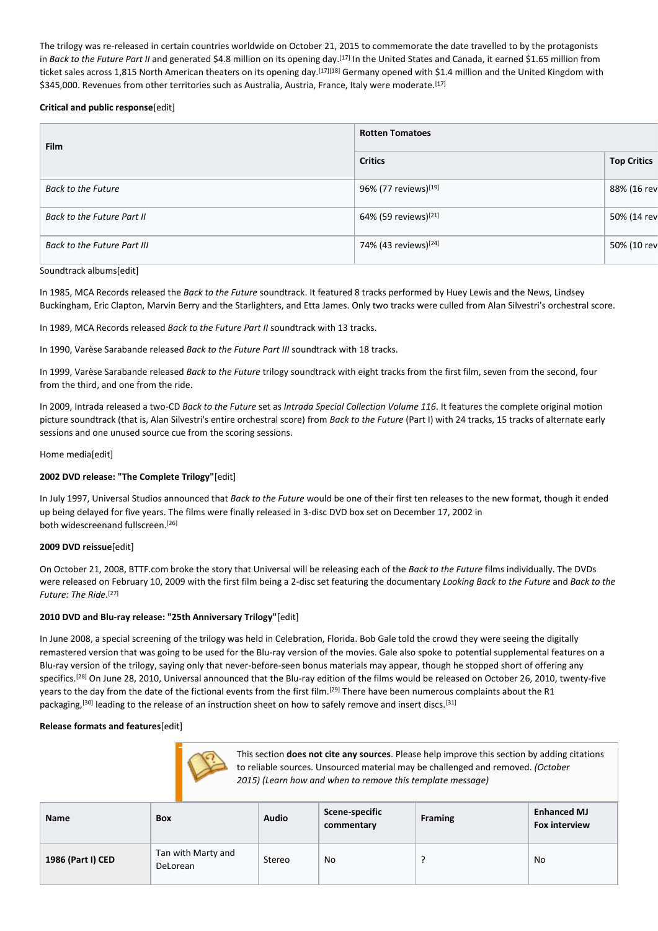The trilogy was re-released in certain countries worldwide on October 21, 2015 to commemorate the date travelled to by the protagonists in *Back to the Future Part II* and generated \$4.8 million on its opening day.[17] In the United States and Canada, it earned \$1.65 million from ticket sales across 1,815 North American theaters on its opening day.<sup>[17][18]</sup> Germany opened with \$1.4 million and the United Kingdom with \$345,000. Revenues from other territories such as Australia, Austria, France, Italy were moderate.<sup>[17]</sup>

#### **Critical and public response**[edit]

| <b>Film</b>                 | <b>Rotten Tomatoes</b>           |                    |  |
|-----------------------------|----------------------------------|--------------------|--|
|                             | <b>Critics</b>                   | <b>Top Critics</b> |  |
| <b>Back to the Future</b>   | 96% (77 reviews)[19]             | 88% (16 rev        |  |
| Back to the Future Part II  | 64% (59 reviews) <sup>[21]</sup> | 50% (14 rev        |  |
| Back to the Future Part III | 74% (43 reviews) <sup>[24]</sup> | 50% (10 rev        |  |

#### Soundtrack albums[edit]

In 1985, MCA Records released the *Back to the Future* soundtrack. It featured 8 tracks performed by Huey Lewis and the News, Lindsey Buckingham, Eric Clapton, Marvin Berry and the Starlighters, and Etta James. Only two tracks were culled from Alan Silvestri's orchestral score.

In 1989, MCA Records released *Back to the Future Part II* soundtrack with 13 tracks.

In 1990, Varèse Sarabande released *Back to the Future Part III* soundtrack with 18 tracks.

In 1999, Varèse Sarabande released *Back to the Future* trilogy soundtrack with eight tracks from the first film, seven from the second, four from the third, and one from the ride.

In 2009, Intrada released a two-CD *Back to the Future* set as *Intrada Special Collection Volume 116*. It features the complete original motion picture soundtrack (that is, Alan Silvestri's entire orchestral score) from *Back to the Future* (Part I) with 24 tracks, 15 tracks of alternate early sessions and one unused source cue from the scoring sessions.

Home media[edit]

## **2002 DVD release: "The Complete Trilogy"**[edit]

In July 1997, Universal Studios announced that *Back to the Future* would be one of their first ten releases to the new format, though it ended up being delayed for five years. The films were finally released in 3-disc DVD box set on December 17, 2002 in both widescreenand fullscreen. [26]

#### **2009 DVD reissue**[edit]

On October 21, 2008, BTTF.com broke the story that Universal will be releasing each of the *Back to the Future* films individually. The DVDs were released on February 10, 2009 with the first film being a 2-disc set featuring the documentary *Looking Back to the Future* and *Back to the Future: The Ride*. [27]

## **2010 DVD and Blu-ray release: "25th Anniversary Trilogy"**[edit]

In June 2008, a special screening of the trilogy was held in Celebration, Florida. Bob Gale told the crowd they were seeing the digitally remastered version that was going to be used for the Blu-ray version of the movies. Gale also spoke to potential supplemental features on a Blu-ray version of the trilogy, saying only that never-before-seen bonus materials may appear, though he stopped short of offering any specifics.<sup>[28]</sup> On June 28, 2010, Universal announced that the Blu-ray edition of the films would be released on October 26, 2010, twenty-five years to the day from the date of the fictional events from the first film.<sup>[29]</sup> There have been numerous complaints about the R1 packaging,<sup>[30]</sup> leading to the release of an instruction sheet on how to safely remove and insert discs.<sup>[31]</sup>

#### **Release formats and features**[edit]

|              | This section <b>does not cite any sources</b> . Please help improve this section by adding citations |
|--------------|------------------------------------------------------------------------------------------------------|
| $\mathbb{C}$ | to reliable sources. Unsourced material may be challenged and removed. (October                      |
|              | 2015) (Learn how and when to remove this template message)                                           |

| Name              | <b>Box</b>                     | <b>Audio</b> | Scene-specific<br>commentary | <b>Framing</b> | <b>Enhanced MJ</b><br><b>Fox interview</b> |
|-------------------|--------------------------------|--------------|------------------------------|----------------|--------------------------------------------|
| 1986 (Part I) CED | Tan with Marty and<br>DeLorean | Stereo       | No.                          |                | No                                         |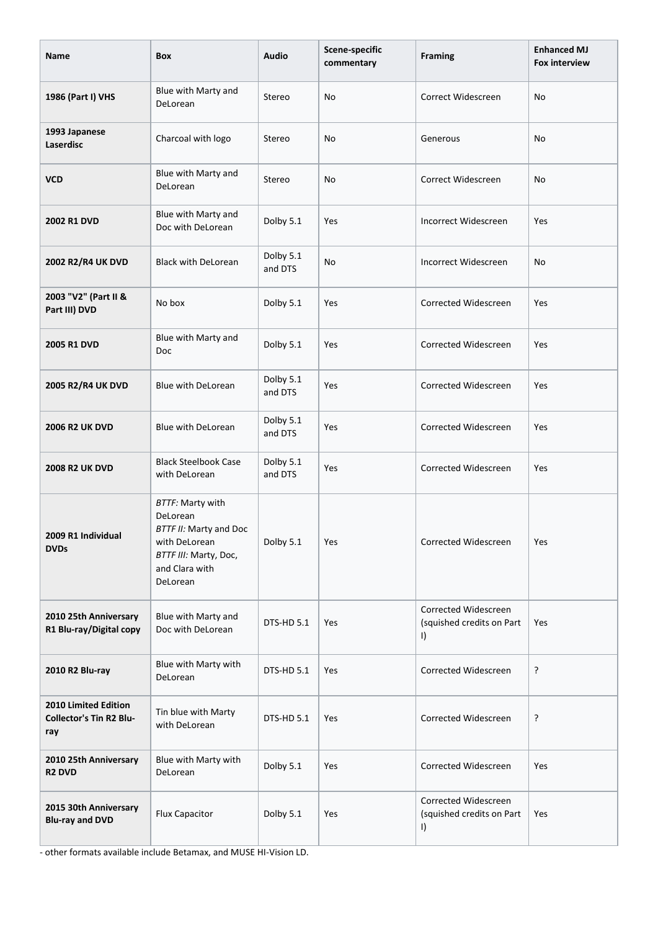| Name                                                                 | Box                                                                                                                                   | <b>Audio</b>         | Scene-specific<br>commentary | <b>Framing</b>                                               | <b>Enhanced MJ</b><br><b>Fox interview</b> |
|----------------------------------------------------------------------|---------------------------------------------------------------------------------------------------------------------------------------|----------------------|------------------------------|--------------------------------------------------------------|--------------------------------------------|
| 1986 (Part I) VHS                                                    | Blue with Marty and<br>DeLorean                                                                                                       | Stereo               | No                           | Correct Widescreen                                           | No                                         |
| 1993 Japanese<br><b>Laserdisc</b>                                    | Charcoal with logo                                                                                                                    | Stereo               | No                           | Generous                                                     | No                                         |
| <b>VCD</b>                                                           | Blue with Marty and<br>DeLorean                                                                                                       | Stereo               | No                           | Correct Widescreen                                           | <b>No</b>                                  |
| 2002 R1 DVD                                                          | Blue with Marty and<br>Doc with DeLorean                                                                                              | Dolby 5.1            | Yes                          | Incorrect Widescreen                                         | Yes                                        |
| 2002 R2/R4 UK DVD                                                    | <b>Black with DeLorean</b>                                                                                                            | Dolby 5.1<br>and DTS | No                           | Incorrect Widescreen                                         | No                                         |
| 2003 "V2" (Part II &<br>Part III) DVD                                | No box                                                                                                                                | Dolby 5.1            | Yes                          | Corrected Widescreen                                         | Yes                                        |
| <b>2005 R1 DVD</b>                                                   | Blue with Marty and<br>Doc                                                                                                            | Dolby 5.1            | Yes                          | Corrected Widescreen                                         | Yes                                        |
| 2005 R2/R4 UK DVD                                                    | <b>Blue with DeLorean</b>                                                                                                             | Dolby 5.1<br>and DTS | Yes                          | Corrected Widescreen                                         | Yes                                        |
| <b>2006 R2 UK DVD</b>                                                | Blue with DeLorean                                                                                                                    | Dolby 5.1<br>and DTS | Yes                          | Corrected Widescreen                                         | Yes                                        |
| <b>2008 R2 UK DVD</b>                                                | <b>Black Steelbook Case</b><br>with DeLorean                                                                                          | Dolby 5.1<br>and DTS | Yes                          | Corrected Widescreen                                         | Yes                                        |
| 2009 R1 Individual<br><b>DVDs</b>                                    | <b>BTTF: Marty with</b><br>DeLorean<br>BTTF II: Marty and Doc<br>with DeLorean<br>BTTF III: Marty, Doc,<br>and Clara with<br>DeLorean | Dolby 5.1            | Yes                          | Corrected Widescreen                                         | Yes                                        |
| 2010 25th Anniversary<br>R1 Blu-ray/Digital copy                     | Blue with Marty and<br>Doc with DeLorean                                                                                              | DTS-HD 5.1           | Yes                          | Corrected Widescreen<br>(squished credits on Part<br>$\vert$ | Yes                                        |
| 2010 R2 Blu-ray                                                      | Blue with Marty with<br>DeLorean                                                                                                      | DTS-HD 5.1           | Yes                          | Corrected Widescreen                                         | ŗ                                          |
| <b>2010 Limited Edition</b><br><b>Collector's Tin R2 Blu-</b><br>ray | Tin blue with Marty<br>with DeLorean                                                                                                  | DTS-HD 5.1           | Yes                          | Corrected Widescreen                                         | ŗ                                          |
| 2010 25th Anniversary<br><b>R2 DVD</b>                               | Blue with Marty with<br>DeLorean                                                                                                      | Dolby 5.1            | Yes                          | Corrected Widescreen                                         | Yes                                        |
| 2015 30th Anniversary<br><b>Blu-ray and DVD</b>                      | Flux Capacitor                                                                                                                        | Dolby 5.1            | Yes                          | Corrected Widescreen<br>(squished credits on Part<br>$\vert$ | Yes                                        |

- other formats available include Betamax, and MUSE HI-Vision LD.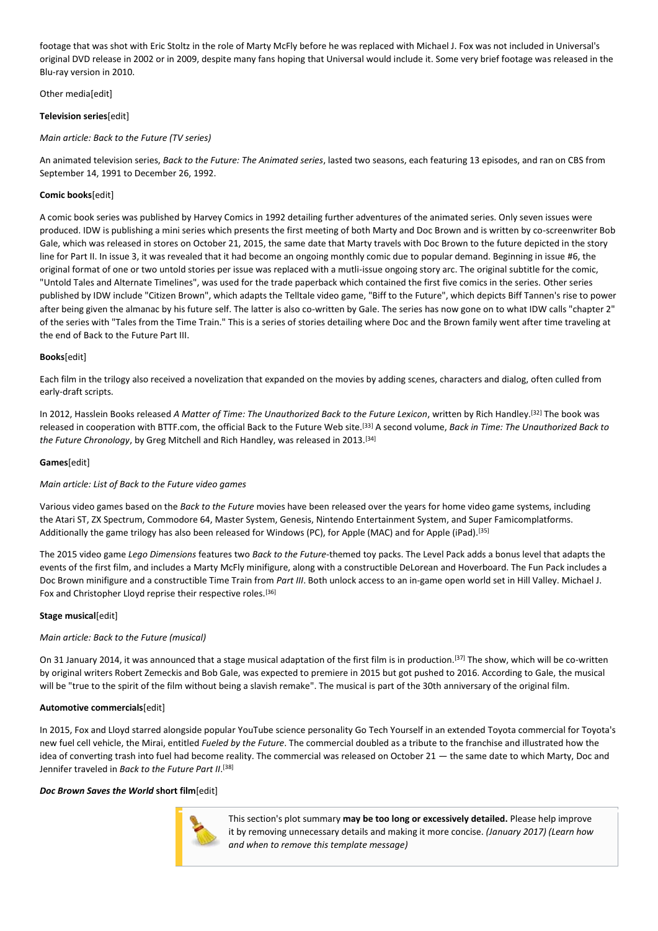footage that was shot with Eric Stoltz in the role of Marty McFly before he was replaced with Michael J. Fox was not included in Universal's original DVD release in 2002 or in 2009, despite many fans hoping that Universal would include it. Some very brief footage was released in the Blu-ray version in 2010.

Other medialeditl

#### **Television series**[edit]

### *Main article: Back to the Future (TV series)*

An animated television series, *Back to the Future: The Animated series*, lasted two seasons, each featuring 13 episodes, and ran on CBS from September 14, 1991 to December 26, 1992.

## **Comic books**[edit]

A comic book series was published by Harvey Comics in 1992 detailing further adventures of the animated series. Only seven issues were produced. IDW is publishing a mini series which presents the first meeting of both Marty and Doc Brown and is written by co-screenwriter Bob Gale, which was released in stores on October 21, 2015, the same date that Marty travels with Doc Brown to the future depicted in the story line for Part II. In issue 3, it was revealed that it had become an ongoing monthly comic due to popular demand. Beginning in issue #6, the original format of one or two untold stories per issue was replaced with a mutli-issue ongoing story arc. The original subtitle for the comic, "Untold Tales and Alternate Timelines", was used for the trade paperback which contained the first five comics in the series. Other series published by IDW include "Citizen Brown", which adapts the Telltale video game, "Biff to the Future", which depicts Biff Tannen's rise to power after being given the almanac by his future self. The latter is also co-written by Gale. The series has now gone on to what IDW calls "chapter 2" of the series with "Tales from the Time Train." This is a series of stories detailing where Doc and the Brown family went after time traveling at the end of Back to the Future Part III.

### **Books**[edit]

Each film in the trilogy also received a novelization that expanded on the movies by adding scenes, characters and dialog, often culled from early-draft scripts.

In 2012, Hasslein Books released *A Matter of Time: The Unauthorized Back to the Future Lexicon*, written by Rich Handley.[32] The book was released in cooperation with BTTF.com, the official Back to the Future Web site.[33] A second volume, *Back in Time: The Unauthorized Back to the Future Chronology*, by Greg Mitchell and Rich Handley, was released in 2013.[34]

#### **Games**[edit]

#### *Main article: List of Back to the Future video games*

Various video games based on the *Back to the Future* movies have been released over the years for home video game systems, including the Atari ST, ZX Spectrum, Commodore 64, Master System, Genesis, Nintendo Entertainment System, and Super Famicomplatforms. Additionally the game trilogy has also been released for Windows (PC), for Apple (MAC) and for Apple (iPad).[35]

The 2015 video game *Lego Dimensions* features two *Back to the Future*-themed toy packs. The Level Pack adds a bonus level that adapts the events of the first film, and includes a Marty McFly minifigure, along with a constructible DeLorean and Hoverboard. The Fun Pack includes a Doc Brown minifigure and a constructible Time Train from *Part III*. Both unlock access to an in-game open world set in Hill Valley. Michael J. Fox and Christopher Lloyd reprise their respective roles.<sup>[36]</sup>

## **Stage musical**[edit]

## *Main article: Back to the Future (musical)*

On 31 January 2014, it was announced that a stage musical adaptation of the first film is in production.[37] The show, which will be co-written by original writers Robert Zemeckis and Bob Gale, was expected to premiere in 2015 but got pushed to 2016. According to Gale, the musical will be "true to the spirit of the film without being a slavish remake". The musical is part of the 30th anniversary of the original film.

#### **Automotive commercials**[edit]

In 2015, Fox and Lloyd starred alongside popular YouTube science personality Go Tech Yourself in an extended Toyota commercial for Toyota's new fuel cell vehicle, the Mirai, entitled *Fueled by the Future*. The commercial doubled as a tribute to the franchise and illustrated how the idea of converting trash into fuel had become reality. The commercial was released on October 21 — the same date to which Marty, Doc and Jennifer traveled in *Back to the Future Part II*. [38]

#### *Doc Brown Saves the World* **short film**[edit]



This section's plot summary **may be too long or excessively detailed.** Please help improve it by removing unnecessary details and making it more concise. *(January 2017) (Learn how and when to remove this template message)*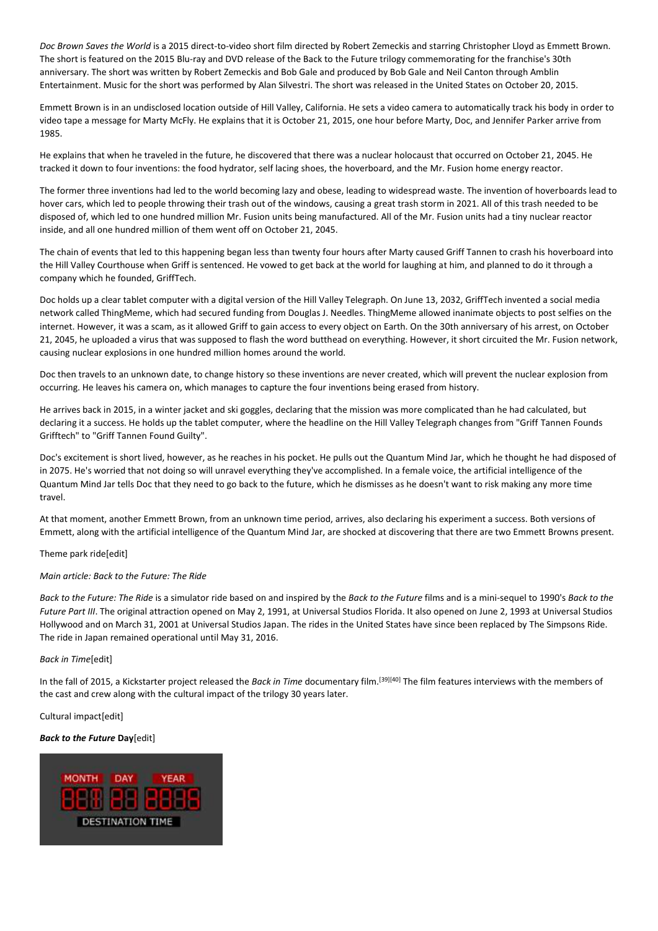*Doc Brown Saves the World* is a 2015 direct-to-video short film directed by Robert Zemeckis and starring Christopher Lloyd as Emmett Brown. The short is featured on the 2015 Blu-ray and DVD release of the Back to the Future trilogy commemorating for the franchise's 30th anniversary. The short was written by Robert Zemeckis and Bob Gale and produced by Bob Gale and Neil Canton through Amblin Entertainment. Music for the short was performed by Alan Silvestri. The short was released in the United States on October 20, 2015.

Emmett Brown is in an undisclosed location outside of Hill Valley, California. He sets a video camera to automatically track his body in order to video tape a message for Marty McFly. He explains that it is October 21, 2015, one hour before Marty, Doc, and Jennifer Parker arrive from 1985.

He explains that when he traveled in the future, he discovered that there was a nuclear holocaust that occurred on October 21, 2045. He tracked it down to four inventions: the food hydrator, self lacing shoes, the hoverboard, and the Mr. Fusion home energy reactor.

The former three inventions had led to the world becoming lazy and obese, leading to widespread waste. The invention of hoverboards lead to hover cars, which led to people throwing their trash out of the windows, causing a great trash storm in 2021. All of this trash needed to be disposed of, which led to one hundred million Mr. Fusion units being manufactured. All of the Mr. Fusion units had a tiny nuclear reactor inside, and all one hundred million of them went off on October 21, 2045.

The chain of events that led to this happening began less than twenty four hours after Marty caused Griff Tannen to crash his hoverboard into the Hill Valley Courthouse when Griff is sentenced. He vowed to get back at the world for laughing at him, and planned to do it through a company which he founded, GriffTech.

Doc holds up a clear tablet computer with a digital version of the Hill Valley Telegraph. On June 13, 2032, GriffTech invented a social media network called ThingMeme, which had secured funding from Douglas J. Needles. ThingMeme allowed inanimate objects to post selfies on the internet. However, it was a scam, as it allowed Griff to gain access to every object on Earth. On the 30th anniversary of his arrest, on October 21, 2045, he uploaded a virus that was supposed to flash the word butthead on everything. However, it short circuited the Mr. Fusion network, causing nuclear explosions in one hundred million homes around the world.

Doc then travels to an unknown date, to change history so these inventions are never created, which will prevent the nuclear explosion from occurring. He leaves his camera on, which manages to capture the four inventions being erased from history.

He arrives back in 2015, in a winter jacket and ski goggles, declaring that the mission was more complicated than he had calculated, but declaring it a success. He holds up the tablet computer, where the headline on the Hill Valley Telegraph changes from "Griff Tannen Founds Grifftech" to "Griff Tannen Found Guilty".

Doc's excitement is short lived, however, as he reaches in his pocket. He pulls out the Quantum Mind Jar, which he thought he had disposed of in 2075. He's worried that not doing so will unravel everything they've accomplished. In a female voice, the artificial intelligence of the Quantum Mind Jar tells Doc that they need to go back to the future, which he dismisses as he doesn't want to risk making any more time travel.

At that moment, another Emmett Brown, from an unknown time period, arrives, also declaring his experiment a success. Both versions of Emmett, along with the artificial intelligence of the Quantum Mind Jar, are shocked at discovering that there are two Emmett Browns present.

#### Theme park ride[edit]

#### *Main article: Back to the Future: The Ride*

*Back to the Future: The Ride* is a simulator ride based on and inspired by the *Back to the Future* films and is a mini-sequel to 1990's *Back to the Future Part III*. The original attraction opened on May 2, 1991, at Universal Studios Florida. It also opened on June 2, 1993 at Universal Studios Hollywood and on March 31, 2001 at Universal Studios Japan. The rides in the United States have since been replaced by The Simpsons Ride. The ride in Japan remained operational until May 31, 2016.

#### *Back in Time*[edit]

In the fall of 2015, a Kickstarter project released the *Back in Time* documentary film.[39][40] The film features interviews with the members of the cast and crew along with the cultural impact of the trilogy 30 years later.

#### Cultural impact[edit]

## *Back to the Future* **Day**[edit]

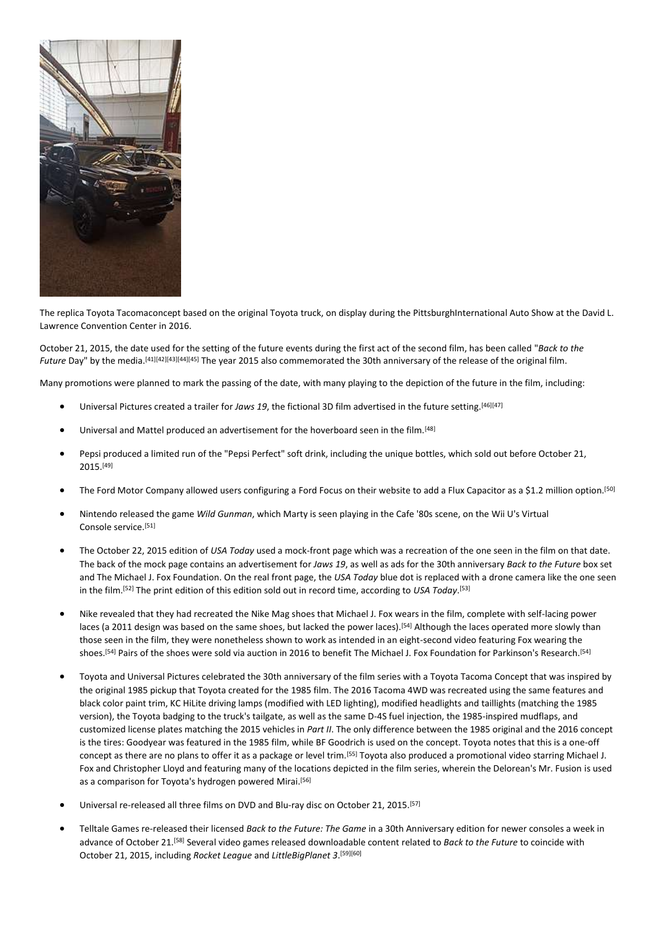

The replica Toyota Tacomaconcept based on the original Toyota truck, on display during the PittsburghInternational Auto Show at the David L. Lawrence Convention Center in 2016.

October 21, 2015, the date used for the setting of the future events during the first act of the second film, has been called "*Back to the Future* Day" by the media.[41][42][43][44][45] The year 2015 also commemorated the 30th anniversary of the release of the original film.

Many promotions were planned to mark the passing of the date, with many playing to the depiction of the future in the film, including:

- Universal Pictures created a trailer for *Jaws 19*, the fictional 3D film advertised in the future setting.[46][47]
- Universal and Mattel produced an advertisement for the hoverboard seen in the film.<sup>[48]</sup>
- Pepsi produced a limited run of the "Pepsi Perfect" soft drink, including the unique bottles, which sold out before October 21, 2015.[49]
- The Ford Motor Company allowed users configuring a Ford Focus on their website to add a Flux Capacitor as a \$1.2 million option.<sup>[50]</sup>
- Nintendo released the game *Wild Gunman*, which Marty is seen playing in the Cafe '80s scene, on the Wii U's Virtual Console service.[51]
- The October 22, 2015 edition of *USA Today* used a mock-front page which was a recreation of the one seen in the film on that date. The back of the mock page contains an advertisement for *Jaws 19*, as well as ads for the 30th anniversary *Back to the Future* box set and The Michael J. Fox Foundation. On the real front page, the *USA Today* blue dot is replaced with a drone camera like the one seen in the film.[52] The print edition of this edition sold out in record time, according to *USA Today*. [53]
- Nike revealed that they had recreated the Nike Mag shoes that Michael J. Fox wears in the film, complete with self-lacing power laces (a 2011 design was based on the same shoes, but lacked the power laces).<sup>[54]</sup> Although the laces operated more slowly than those seen in the film, they were nonetheless shown to work as intended in an eight-second video featuring Fox wearing the shoes.[54] Pairs of the shoes were sold via auction in 2016 to benefit The Michael J. Fox Foundation for Parkinson's Research.[54]
- Toyota and Universal Pictures celebrated the 30th anniversary of the film series with a Toyota Tacoma Concept that was inspired by the original 1985 pickup that Toyota created for the 1985 film. The 2016 Tacoma 4WD was recreated using the same features and black color paint trim, KC HiLite driving lamps (modified with LED lighting), modified headlights and taillights (matching the 1985 version), the Toyota badging to the truck's tailgate, as well as the same D-4S fuel injection, the 1985-inspired mudflaps, and customized license plates matching the 2015 vehicles in *Part II*. The only difference between the 1985 original and the 2016 concept is the tires: Goodyear was featured in the 1985 film, while BF Goodrich is used on the concept. Toyota notes that this is a one-off concept as there are no plans to offer it as a package or level trim.[55] Toyota also produced a promotional video starring Michael J. Fox and Christopher Lloyd and featuring many of the locations depicted in the film series, wherein the Delorean's Mr. Fusion is used as a comparison for Toyota's hydrogen powered Mirai.<sup>[56]</sup>
- Universal re-released all three films on DVD and Blu-ray disc on October 21, 2015.<sup>[57]</sup>
- Telltale Games re-released their licensed *Back to the Future: The Game* in a 30th Anniversary edition for newer consoles a week in advance of October 21.[58] Several video games released downloadable content related to *Back to the Future* to coincide with October 21, 2015, including *Rocket League* and *LittleBigPlanet 3*. [59][60]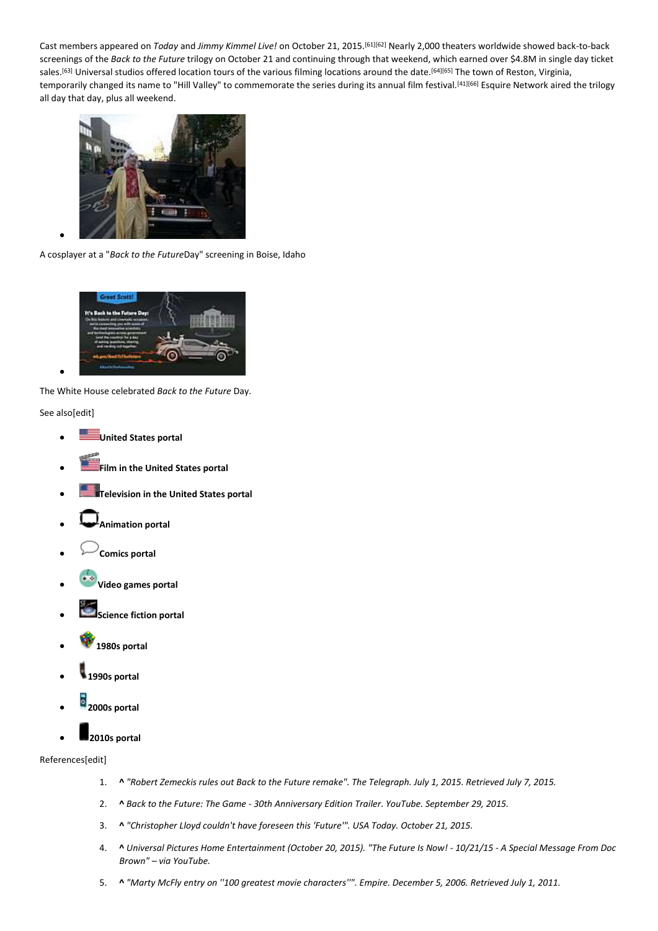Cast members appeared on *Today* and *Jimmy Kimmel Live!* on October 21, 2015.[61][62] Nearly 2,000 theaters worldwide showed back-to-back screenings of the *Back to the Future* trilogy on October 21 and continuing through that weekend, which earned over \$4.8M in single day ticket sales.<sup>[63]</sup> Universal studios offered location tours of the various filming locations around the date.<sup>[64][65]</sup> The town of Reston, Virginia, temporarily changed its name to "Hill Valley" to commemorate the series during its annual film festival.<sup>[41][66]</sup> Esquire Network aired the trilogy all day that day, plus all weekend.



A cosplayer at a "*Back to the Future*Day" screening in Boise, Idaho



The White House celebrated *Back to the Future* Day.

See also[edit]

•

- **United States portal**
- **Film in the United States portal**
- **Television in the United States portal**
- **Animation portal**
- **Comics portal**
- **Video games portal**
- **Science fiction portal**
- **1980s portal**
- **1990s portal**
- **2000s portal**



## References[edit]

- 1. **^** *"Robert Zemeckis rules out Back to the Future remake". The Telegraph. July 1, 2015. Retrieved July 7, 2015.*
- 2. **^** *Back to the Future: The Game - 30th Anniversary Edition Trailer. YouTube. September 29, 2015.*
- 3. **^** *"Christopher Lloyd couldn't have foreseen this 'Future'". USA Today. October 21, 2015.*
- 4. **^** *Universal Pictures Home Entertainment (October 20, 2015). "The Future Is Now! - 10/21/15 - A Special Message From Doc Brown" – via YouTube.*
- 5. **^** *"Marty McFly entry on ''100 greatest movie characters''". Empire. December 5, 2006. Retrieved July 1, 2011.*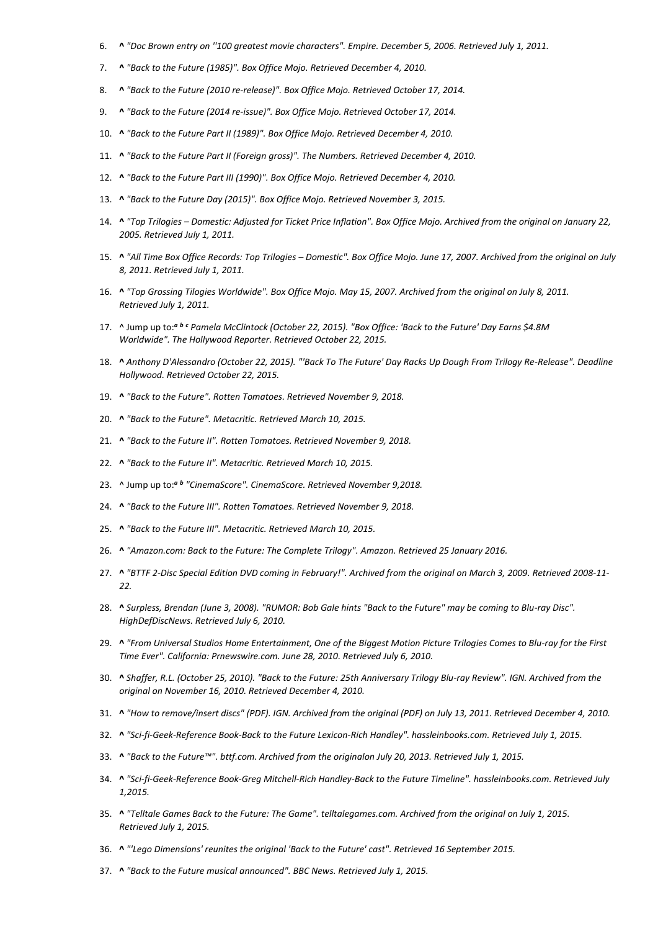- 6. **^** *"Doc Brown entry on ''100 greatest movie characters". Empire. December 5, 2006. Retrieved July 1, 2011.*
- 7. **^** *"Back to the Future (1985)". Box Office Mojo. Retrieved December 4, 2010.*
- 8. **^** *"Back to the Future (2010 re-release)". Box Office Mojo. Retrieved October 17, 2014.*
- 9. **^** *"Back to the Future (2014 re-issue)". Box Office Mojo. Retrieved October 17, 2014.*
- 10. **^** *"Back to the Future Part II (1989)". Box Office Mojo. Retrieved December 4, 2010.*
- 11. **^** *"Back to the Future Part II (Foreign gross)". The Numbers. Retrieved December 4, 2010.*
- 12. **^** *"Back to the Future Part III (1990)". Box Office Mojo. Retrieved December 4, 2010.*
- 13. **^** *"Back to the Future Day (2015)". Box Office Mojo. Retrieved November 3, 2015.*
- 14. **^** *"Top Trilogies – Domestic: Adjusted for Ticket Price Inflation". Box Office Mojo. Archived from the original on January 22, 2005. Retrieved July 1, 2011.*
- 15. **^** *"All Time Box Office Records: Top Trilogies – Domestic". Box Office Mojo. June 17, 2007. Archived from the original on July 8, 2011. Retrieved July 1, 2011.*
- 16. **^** *"Top Grossing Tilogies Worldwide". Box Office Mojo. May 15, 2007. Archived from the original on July 8, 2011. Retrieved July 1, 2011.*
- 17. ^ Jump up to:*<sup>a</sup> <sup>b</sup> <sup>c</sup> Pamela McClintock (October 22, 2015). "Box Office: 'Back to the Future' Day Earns \$4.8M Worldwide". The Hollywood Reporter. Retrieved October 22, 2015.*
- 18. **^** *Anthony D'Alessandro (October 22, 2015). "'Back To The Future' Day Racks Up Dough From Trilogy Re-Release". Deadline Hollywood. Retrieved October 22, 2015.*
- 19. **^** *"Back to the Future". Rotten Tomatoes. Retrieved November 9, 2018.*
- 20. **^** *"Back to the Future". Metacritic. Retrieved March 10, 2015.*
- 21. **^** *"Back to the Future II". Rotten Tomatoes. Retrieved November 9, 2018.*
- 22. **^** *"Back to the Future II". Metacritic. Retrieved March 10, 2015.*
- 23. ^ Jump up to:*<sup>a</sup> <sup>b</sup> "CinemaScore". CinemaScore. Retrieved November 9,2018.*
- 24. **^** *"Back to the Future III". Rotten Tomatoes. Retrieved November 9, 2018.*
- 25. **^** *"Back to the Future III". Metacritic. Retrieved March 10, 2015.*
- 26. **^** *"Amazon.com: Back to the Future: The Complete Trilogy". Amazon. Retrieved 25 January 2016.*
- 27. **^** *"BTTF 2-Disc Special Edition DVD coming in February!". Archived from the original on March 3, 2009. Retrieved 2008-11- 22.*
- 28. **^** *Surpless, Brendan (June 3, 2008). "RUMOR: Bob Gale hints "Back to the Future" may be coming to Blu-ray Disc". HighDefDiscNews. Retrieved July 6, 2010.*
- 29. **^** *"From Universal Studios Home Entertainment, One of the Biggest Motion Picture Trilogies Comes to Blu-ray for the First Time Ever". California: Prnewswire.com. June 28, 2010. Retrieved July 6, 2010.*
- 30. **^** *Shaffer, R.L. (October 25, 2010). "Back to the Future: 25th Anniversary Trilogy Blu-ray Review". IGN. Archived from the original on November 16, 2010. Retrieved December 4, 2010.*
- 31. **^** *"How to remove/insert discs" (PDF). IGN. Archived from the original (PDF) on July 13, 2011. Retrieved December 4, 2010.*
- 32. **^** *"Sci-fi-Geek-Reference Book-Back to the Future Lexicon-Rich Handley". hassleinbooks.com. Retrieved July 1, 2015.*
- 33. **^** *"Back to the Future™". bttf.com. Archived from the originalon July 20, 2013. Retrieved July 1, 2015.*
- 34. **^** *"Sci-fi-Geek-Reference Book-Greg Mitchell-Rich Handley-Back to the Future Timeline". hassleinbooks.com. Retrieved July 1,2015.*
- 35. **^** *"Telltale Games Back to the Future: The Game". telltalegames.com. Archived from the original on July 1, 2015. Retrieved July 1, 2015.*
- 36. **^** *"'Lego Dimensions' reunites the original 'Back to the Future' cast". Retrieved 16 September 2015.*
- 37. **^** *"Back to the Future musical announced". BBC News. Retrieved July 1, 2015.*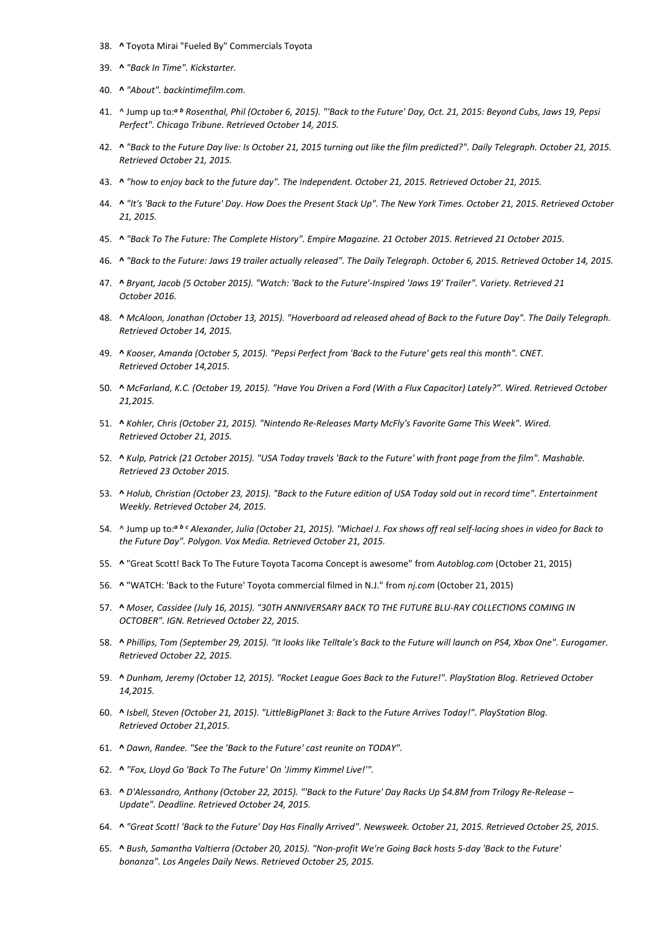- 38. **^** Toyota Mirai "Fueled By" Commercials Toyota
- 39. **^** *"Back In Time". Kickstarter.*
- 40. **^** *"About". backintimefilm.com.*
- 41. ^ Jump up to:*<sup>a</sup> <sup>b</sup> Rosenthal, Phil (October 6, 2015). "'Back to the Future' Day, Oct. 21, 2015: Beyond Cubs, Jaws 19, Pepsi Perfect". Chicago Tribune. Retrieved October 14, 2015.*
- 42. **^** *"Back to the Future Day live: Is October 21, 2015 turning out like the film predicted?". Daily Telegraph. October 21, 2015. Retrieved October 21, 2015.*
- 43. **^** *"how to enjoy back to the future day". The Independent. October 21, 2015. Retrieved October 21, 2015.*
- 44. **^** *"It's 'Back to the Future' Day. How Does the Present Stack Up". The New York Times. October 21, 2015. Retrieved October 21, 2015.*
- 45. **^** *"Back To The Future: The Complete History". Empire Magazine. 21 October 2015. Retrieved 21 October 2015.*
- 46. **^** *"Back to the Future: Jaws 19 trailer actually released". The Daily Telegraph. October 6, 2015. Retrieved October 14, 2015.*
- 47. **^** *Bryant, Jacob (5 October 2015). "Watch: 'Back to the Future'-Inspired 'Jaws 19' Trailer". Variety. Retrieved 21 October 2016.*
- 48. **^** *McAloon, Jonathan (October 13, 2015). "Hoverboard ad released ahead of Back to the Future Day". The Daily Telegraph. Retrieved October 14, 2015.*
- 49. **^** *Kooser, Amanda (October 5, 2015). "Pepsi Perfect from 'Back to the Future' gets real this month". CNET. Retrieved October 14,2015.*
- 50. **^** *McFarland, K.C. (October 19, 2015). "Have You Driven a Ford (With a Flux Capacitor) Lately?". Wired. Retrieved October 21,2015.*
- 51. **^** *Kohler, Chris (October 21, 2015). "Nintendo Re-Releases Marty McFly's Favorite Game This Week". Wired. Retrieved October 21, 2015.*
- 52. **^** *Kulp, Patrick (21 October 2015). "USA Today travels 'Back to the Future' with front page from the film". Mashable. Retrieved 23 October 2015.*
- 53. **^** *Holub, Christian (October 23, 2015). "Back to the Future edition of USA Today sold out in record time". Entertainment Weekly. Retrieved October 24, 2015.*
- 54. ^ Jump up to:*<sup>a</sup> <sup>b</sup> <sup>c</sup> Alexander, Julia (October 21, 2015). "Michael J. Fox shows off real self-lacing shoes in video for Back to the Future Day". Polygon. Vox Media. Retrieved October 21, 2015.*
- 55. **^** "Great Scott! Back To The Future Toyota Tacoma Concept is awesome" from *Autoblog.com* (October 21, 2015)
- 56. **^** "WATCH: 'Back to the Future' Toyota commercial filmed in N.J." from *nj.com* (October 21, 2015)
- 57. **^** *Moser, Cassidee (July 16, 2015). "30TH ANNIVERSARY BACK TO THE FUTURE BLU-RAY COLLECTIONS COMING IN OCTOBER". IGN. Retrieved October 22, 2015.*
- 58. **^** *Phillips, Tom (September 29, 2015). "It looks like Telltale's Back to the Future will launch on PS4, Xbox One". Eurogamer. Retrieved October 22, 2015.*
- 59. **^** *Dunham, Jeremy (October 12, 2015). "Rocket League Goes Back to the Future!". PlayStation Blog. Retrieved October 14,2015.*
- 60. **^** *Isbell, Steven (October 21, 2015). "LittleBigPlanet 3: Back to the Future Arrives Today!". PlayStation Blog. Retrieved October 21,2015.*
- 61. **^** *Dawn, Randee. "See the 'Back to the Future' cast reunite on TODAY".*
- 62. **^** *"Fox, Lloyd Go 'Back To The Future' On 'Jimmy Kimmel Live!'".*
- 63. **^** *D'Alessandro, Anthony (October 22, 2015). "'Back to the Future' Day Racks Up \$4.8M from Trilogy Re-Release – Update". Deadline. Retrieved October 24, 2015.*
- 64. **^** *"Great Scott! 'Back to the Future' Day Has Finally Arrived". Newsweek. October 21, 2015. Retrieved October 25, 2015.*
- 65. **^** *Bush, Samantha Valtierra (October 20, 2015). "Non-profit We're Going Back hosts 5-day 'Back to the Future' bonanza". Los Angeles Daily News. Retrieved October 25, 2015.*